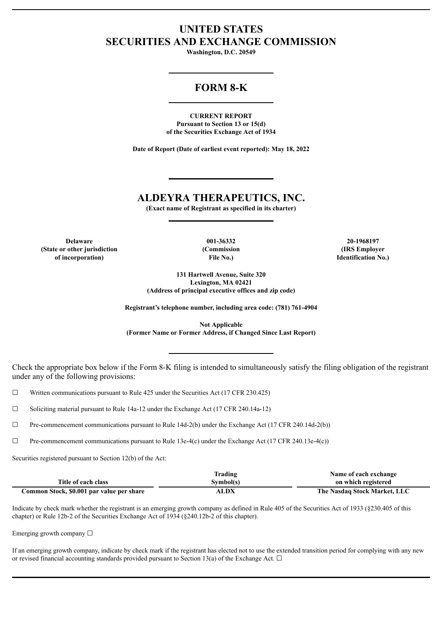# **UNITED STATES SECURITIES AND EXCHANGE COMMISSION**

**Washington, D.C. 20549**

# **FORM 8-K**

**CURRENT REPORT Pursuant to Section 13 or 15(d) of the Securities Exchange Act of 1934**

**Date of Report (Date of earliest event reported): May 18, 2022**

## **ALDEYRA THERAPEUTICS, INC.**

**(Exact name of Registrant as specified in its charter)**

**Delaware 001-36332 20-1968197 (State or other jurisdiction of incorporation)**

**(Commission File No.)**

**(IRS Employer Identification No.)**

**131 Hartwell Avenue, Suite 320 Lexington, MA 02421 (Address of principal executive offices and zip code)**

**Registrant's telephone number, including area code: (781) 761-4904**

**Not Applicable (Former Name or Former Address, if Changed Since Last Report)**

Check the appropriate box below if the Form 8-K filing is intended to simultaneously satisfy the filing obligation of the registrant under any of the following provisions:

 $\Box$  Written communications pursuant to Rule 425 under the Securities Act (17 CFR 230.425)

☐ Soliciting material pursuant to Rule 14a-12 under the Exchange Act (17 CFR 240.14a-12)

☐ Pre-commencement communications pursuant to Rule 14d-2(b) under the Exchange Act (17 CFR 240.14d-2(b))

 $\Box$  Pre-commencement communications pursuant to Rule 13e-4(c) under the Exchange Act (17 CFR 240.13e-4(c))

Securities registered pursuant to Section 12(b) of the Act:

|                                           | Trading   | Name of each exchange        |
|-------------------------------------------|-----------|------------------------------|
| Title of each class                       | Symbol(s) | on which registered          |
| Common Stock, \$0.001 par value per share | ALDX      | The Nasdaq Stock Market, LLC |

Indicate by check mark whether the registrant is an emerging growth company as defined in Rule 405 of the Securities Act of 1933 (§230.405 of this chapter) or Rule 12b-2 of the Securities Exchange Act of 1934 (§240.12b-2 of this chapter).

Emerging growth company  $\Box$ 

If an emerging growth company, indicate by check mark if the registrant has elected not to use the extended transition period for complying with any new or revised financial accounting standards provided pursuant to Section 13(a) of the Exchange Act.  $\Box$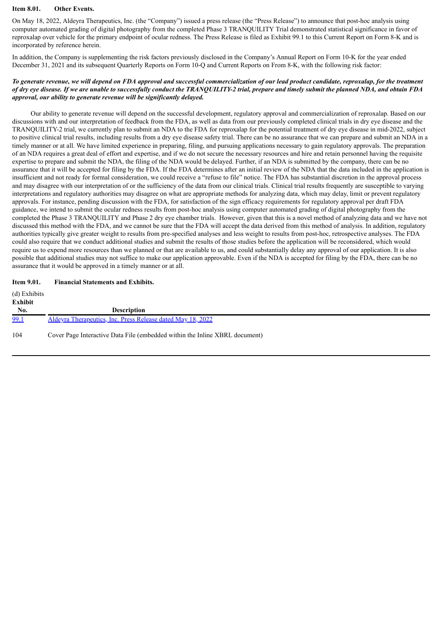#### **Item 8.01. Other Events.**

On May 18, 2022, Aldeyra Therapeutics, Inc. (the "Company") issued a press release (the "Press Release") to announce that post-hoc analysis using computer automated grading of digital photography from the completed Phase 3 TRANQUILITY Trial demonstrated statistical significance in favor of reproxalap over vehicle for the primary endpoint of ocular redness. The Press Release is filed as Exhibit 99.1 to this Current Report on Form 8-K and is incorporated by reference herein.

In addition, the Company is supplementing the risk factors previously disclosed in the Company's Annual Report on Form 10-K for the year ended December 31, 2021 and its subsequent Quarterly Reports on Form 10-Q and Current Reports on From 8-K, with the following risk factor:

#### To generate revenue, we will depend on FDA approval and successful commercialization of our lead product candidate, reproxalap, for the treatment of dry eye disease. If we are unable to successfully conduct the TRANQUILITY-2 trial, prepare and timely submit the planned NDA, and obtain FDA *approval, our ability to generate revenue will be significantly delayed.*

Our ability to generate revenue will depend on the successful development, regulatory approval and commercialization of reproxalap. Based on our discussions with and our interpretation of feedback from the FDA, as well as data from our previously completed clinical trials in dry eye disease and the TRANQUILITY-2 trial, we currently plan to submit an NDA to the FDA for reproxalap for the potential treatment of dry eye disease in mid-2022, subject to positive clinical trial results, including results from a dry eye disease safety trial. There can be no assurance that we can prepare and submit an NDA in a timely manner or at all. We have limited experience in preparing, filing, and pursuing applications necessary to gain regulatory approvals. The preparation of an NDA requires a great deal of effort and expertise, and if we do not secure the necessary resources and hire and retain personnel having the requisite expertise to prepare and submit the NDA, the filing of the NDA would be delayed. Further, if an NDA is submitted by the company, there can be no assurance that it will be accepted for filing by the FDA. If the FDA determines after an initial review of the NDA that the data included in the application is insufficient and not ready for formal consideration, we could receive a "refuse to file" notice. The FDA has substantial discretion in the approval process and may disagree with our interpretation of or the sufficiency of the data from our clinical trials. Clinical trial results frequently are susceptible to varying interpretations and regulatory authorities may disagree on what are appropriate methods for analyzing data, which may delay, limit or prevent regulatory approvals. For instance, pending discussion with the FDA, for satisfaction of the sign efficacy requirements for regulatory approval per draft FDA guidance, we intend to submit the ocular redness results from post-hoc analysis using computer automated grading of digital photography from the completed the Phase 3 TRANQUILITY and Phase 2 dry eye chamber trials. However, given that this is a novel method of analyzing data and we have not discussed this method with the FDA, and we cannot be sure that the FDA will accept the data derived from this method of analysis. In addition, regulatory authorities typically give greater weight to results from pre-specified analyses and less weight to results from post-hoc, retrospective analyses. The FDA could also require that we conduct additional studies and submit the results of those studies before the application will be reconsidered, which would require us to expend more resources than we planned or that are available to us, and could substantially delay any approval of our application. It is also possible that additional studies may not suffice to make our application approvable. Even if the NDA is accepted for filing by the FDA, there can be no assurance that it would be approved in a timely manner or at all.

#### **Item 9.01. Financial Statements and Exhibits.**

| (d) Exhibits<br><b>Exhibit</b> |                                                                             |
|--------------------------------|-----------------------------------------------------------------------------|
| No.                            | <b>Description</b>                                                          |
| 99.1                           | Aldeyra Therapeutics, Inc. Press Release dated May 18, 2022                 |
| 104                            | Cover Page Interactive Data File (embedded within the Inline XBRL document) |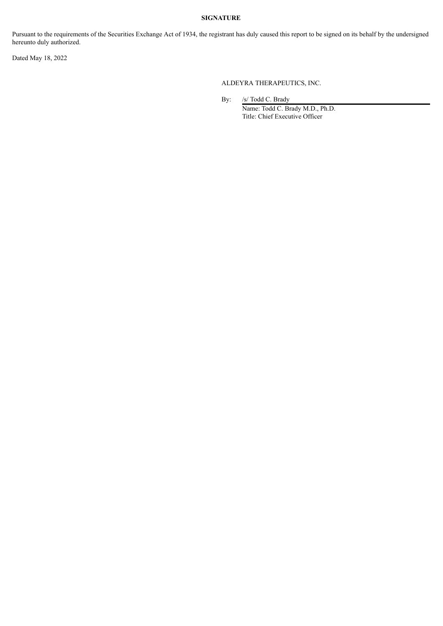### **SIGNATURE**

Pursuant to the requirements of the Securities Exchange Act of 1934, the registrant has duly caused this report to be signed on its behalf by the undersigned hereunto duly authorized.

Dated May 18, 2022

ALDEYRA THERAPEUTICS, INC.

By: /s/ Todd C. Brady

Name: Todd C. Brady M.D., Ph.D. Title: Chief Executive Officer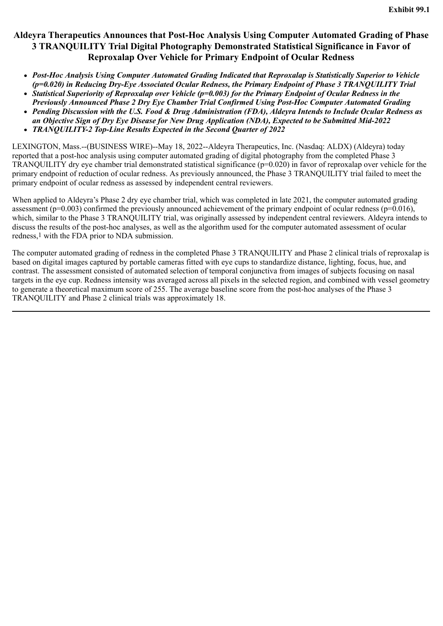# <span id="page-3-0"></span>**Aldeyra Therapeutics Announces that Post-Hoc Analysis Using Computer Automated Grading of Phase 3 TRANQUILITY Trial Digital Photography Demonstrated Statistical Significance in Favor of Reproxalap Over Vehicle for Primary Endpoint of Ocular Redness**

- *Post-Hoc Analysis Using Computer Automated Grading Indicated that Reproxalap is Statistically Superior to Vehicle (p=0.020) in Reducing Dry-Eye Associated Ocular Redness, the Primary Endpoint of Phase 3 TRANQUILITY Trial*
- *Statistical Superiority of Reproxalap over Vehicle (p=0.003) for the Primary Endpoint of Ocular Redness in the Previously Announced Phase 2 Dry Eye Chamber Trial Confirmed Using Post-Hoc Computer Automated Grading*
- *Pending Discussion with the U.S. Food & Drug Administration (FDA), Aldeyra Intends to Include Ocular Redness as an Objective Sign of Dry Eye Disease for New Drug Application (NDA), Expected to be Submitted Mid-2022*
- *TRANQUILITY-2 Top-Line Results Expected in the Second Quarter of 2022*

LEXINGTON, Mass.--(BUSINESS WIRE)--May 18, 2022--Aldeyra Therapeutics, Inc. (Nasdaq: ALDX) (Aldeyra) today reported that a post-hoc analysis using computer automated grading of digital photography from the completed Phase 3 TRANQUILITY dry eye chamber trial demonstrated statistical significance  $(p=0.020)$  in favor of reproxalap over vehicle for the primary endpoint of reduction of ocular redness. As previously announced, the Phase 3 TRANQUILITY trial failed to meet the primary endpoint of ocular redness as assessed by independent central reviewers.

When applied to Aldeyra's Phase 2 dry eye chamber trial, which was completed in late 2021, the computer automated grading assessment ( $p=0.003$ ) confirmed the previously announced achievement of the primary endpoint of ocular redness ( $p=0.016$ ). which, similar to the Phase 3 TRANQUILITY trial, was originally assessed by independent central reviewers. Aldeyra intends to discuss the results of the post-hoc analyses, as well as the algorithm used for the computer automated assessment of ocular redness,1 with the FDA prior to NDA submission.

The computer automated grading of redness in the completed Phase 3 TRANQUILITY and Phase 2 clinical trials of reproxalap is based on digital images captured by portable cameras fitted with eye cups to standardize distance, lighting, focus, hue, and contrast. The assessment consisted of automated selection of temporal conjunctiva from images of subjects focusing on nasal targets in the eye cup. Redness intensity was averaged across all pixels in the selected region, and combined with vessel geometry to generate a theoretical maximum score of 255. The average baseline score from the post-hoc analyses of the Phase 3 TRANQUILITY and Phase 2 clinical trials was approximately 18.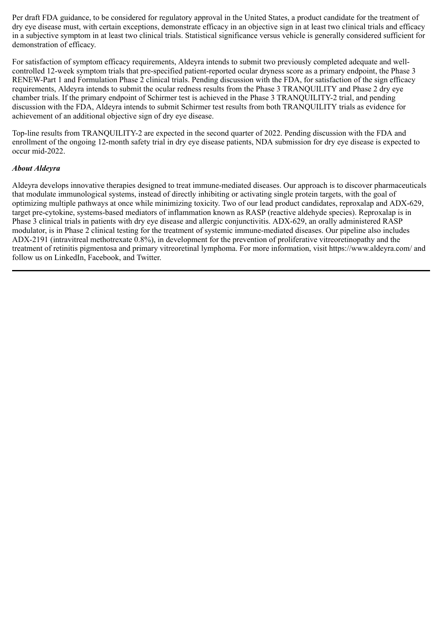Per draft FDA guidance, to be considered for regulatory approval in the United States, a product candidate for the treatment of dry eye disease must, with certain exceptions, demonstrate efficacy in an objective sign in at least two clinical trials and efficacy in a subjective symptom in at least two clinical trials. Statistical significance versus vehicle is generally considered sufficient for demonstration of efficacy.

For satisfaction of symptom efficacy requirements, Aldeyra intends to submit two previously completed adequate and wellcontrolled 12-week symptom trials that pre-specified patient-reported ocular dryness score as a primary endpoint, the Phase 3 RENEW-Part 1 and Formulation Phase 2 clinical trials. Pending discussion with the FDA, for satisfaction of the sign efficacy requirements, Aldeyra intends to submit the ocular redness results from the Phase 3 TRANQUILITY and Phase 2 dry eye chamber trials. If the primary endpoint of Schirmer test is achieved in the Phase 3 TRANQUILITY-2 trial, and pending discussion with the FDA, Aldeyra intends to submit Schirmer test results from both TRANQUILITY trials as evidence for achievement of an additional objective sign of dry eye disease.

Top-line results from TRANQUILITY-2 are expected in the second quarter of 2022. Pending discussion with the FDA and enrollment of the ongoing 12-month safety trial in dry eye disease patients, NDA submission for dry eye disease is expected to occur mid-2022.

## *About Aldeyra*

Aldeyra develops innovative therapies designed to treat immune-mediated diseases. Our approach is to discover pharmaceuticals that modulate immunological systems, instead of directly inhibiting or activating single protein targets, with the goal of optimizing multiple pathways at once while minimizing toxicity. Two of our lead product candidates, reproxalap and ADX-629, target pre-cytokine, systems-based mediators of inflammation known as RASP (reactive aldehyde species). Reproxalap is in Phase 3 clinical trials in patients with dry eye disease and allergic conjunctivitis. ADX-629, an orally administered RASP modulator, is in Phase 2 clinical testing for the treatment of systemic immune-mediated diseases. Our pipeline also includes ADX-2191 (intravitreal methotrexate 0.8%), in development for the prevention of proliferative vitreoretinopathy and the treatment of retinitis pigmentosa and primary vitreoretinal lymphoma. For more information, visit https://www.aldeyra.com/ and follow us on LinkedIn, Facebook, and Twitter.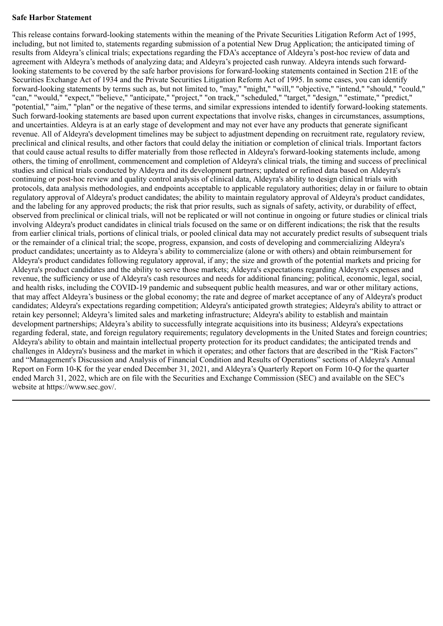### **Safe Harbor Statement**

This release contains forward-looking statements within the meaning of the Private Securities Litigation Reform Act of 1995, including, but not limited to, statements regarding submission of a potential New Drug Application; the anticipated timing of results from Aldeyra's clinical trials; expectations regarding the FDA's acceptance of Aldeyra's post-hoc review of data and agreement with Aldeyra's methods of analyzing data; and Aldeyra's projected cash runway. Aldeyra intends such forwardlooking statements to be covered by the safe harbor provisions for forward-looking statements contained in Section 21E of the Securities Exchange Act of 1934 and the Private Securities Litigation Reform Act of 1995. In some cases, you can identify forward-looking statements by terms such as, but not limited to, "may," "might," "will," "objective," "intend," "should," "could," "can," "would," "expect," "believe," "anticipate," "project," "on track," "scheduled," "target," "design," "estimate," "predict," "potential," "aim," "plan" or the negative of these terms, and similar expressions intended to identify forward-looking statements. Such forward-looking statements are based upon current expectations that involve risks, changes in circumstances, assumptions, and uncertainties. Aldeyra is at an early stage of development and may not ever have any products that generate significant revenue. All of Aldeyra's development timelines may be subject to adjustment depending on recruitment rate, regulatory review, preclinical and clinical results, and other factors that could delay the initiation or completion of clinical trials. Important factors that could cause actual results to differ materially from those reflected in Aldeyra's forward-looking statements include, among others, the timing of enrollment, commencement and completion of Aldeyra's clinical trials, the timing and success of preclinical studies and clinical trials conducted by Aldeyra and its development partners; updated or refined data based on Aldeyra's continuing or post-hoc review and quality control analysis of clinical data, Aldeyra's ability to design clinical trials with protocols, data analysis methodologies, and endpoints acceptable to applicable regulatory authorities; delay in or failure to obtain regulatory approval of Aldeyra's product candidates; the ability to maintain regulatory approval of Aldeyra's product candidates, and the labeling for any approved products; the risk that prior results, such as signals of safety, activity, or durability of effect, observed from preclinical or clinical trials, will not be replicated or will not continue in ongoing or future studies or clinical trials involving Aldeyra's product candidates in clinical trials focused on the same or on different indications; the risk that the results from earlier clinical trials, portions of clinical trials, or pooled clinical data may not accurately predict results of subsequent trials or the remainder of a clinical trial; the scope, progress, expansion, and costs of developing and commercializing Aldeyra's product candidates; uncertainty as to Aldeyra's ability to commercialize (alone or with others) and obtain reimbursement for Aldeyra's product candidates following regulatory approval, if any; the size and growth of the potential markets and pricing for Aldeyra's product candidates and the ability to serve those markets; Aldeyra's expectations regarding Aldeyra's expenses and revenue, the sufficiency or use of Aldeyra's cash resources and needs for additional financing; political, economic, legal, social, and health risks, including the COVID-19 pandemic and subsequent public health measures, and war or other military actions, that may affect Aldeyra's business or the global economy; the rate and degree of market acceptance of any of Aldeyra's product candidates; Aldeyra's expectations regarding competition; Aldeyra's anticipated growth strategies; Aldeyra's ability to attract or retain key personnel; Aldeyra's limited sales and marketing infrastructure; Aldeyra's ability to establish and maintain development partnerships; Aldeyra's ability to successfully integrate acquisitions into its business; Aldeyra's expectations regarding federal, state, and foreign regulatory requirements; regulatory developments in the United States and foreign countries; Aldeyra's ability to obtain and maintain intellectual property protection for its product candidates; the anticipated trends and challenges in Aldeyra's business and the market in which it operates; and other factors that are described in the "Risk Factors" and "Management's Discussion and Analysis of Financial Condition and Results of Operations" sections of Aldeyra's Annual Report on Form 10-K for the year ended December 31, 2021, and Aldeyra's Quarterly Report on Form 10-Q for the quarter ended March 31, 2022, which are on file with the Securities and Exchange Commission (SEC) and available on the SEC's website at https://www.sec.gov/.